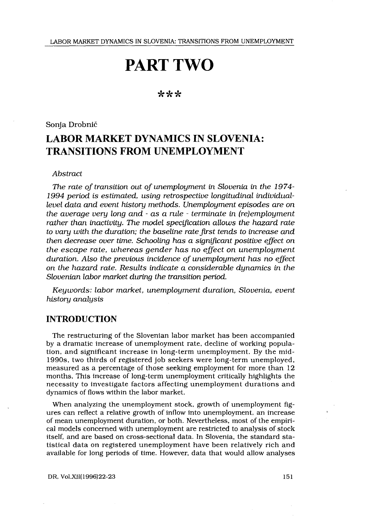# PART TWO

# \*\*\*

Sonja Drobnič

# LABOR MARKET DYNAMICS IN SLOVENIA : TRANSITIONS FROM UNEMPLOYMENT

#### Abstract

The rate of transition out of unemployment in Slovenia in the 1974- 1994 period is estimated, using retrospective longitudinal individuallevel data and event history methods . Unemployment episodes are on the average very long and - as a rule - terminate in (re)employment rather than inactivity. The model specification allows the hazard rate to vary with the duration; the baseline rate first tends to increase and then decrease over time. Schooling has a significant positive effect on the escape rate, whereas gender has no effect on unemployment duration. Also the previous incidence of unemployment has no effect on the hazard rate. Results indicate a considerable dynamics in the Slovenian labor market during the transition period.

Keywords: labor market, unemployment duration, Slovenia, event history analysis

# INTRODUCTION

The restructuring of the Slovenian labor market has been accompanied by a dramatic increase of unemployment rate, decline of working population, and significant increase in long-term unemployment. By the mid-1990s, two thirds of registered job seekers were long-term unemployed, measured as a percentage of those seeking employment for more than 12 months. This increase of long-term unemployment critically highlights the necessity to investigate factors affecting unemployment durations and dynamics of flows within the labor market.

When analyzing the unemployment stock, growth of unemployment figures can reflect a relative growth of inflow into unemployment, an increase of mean unemployment duration, or both . Nevertheless, most of the empirical models concerned with unemployment are restricted to analysis of stock itself, and are based on cross-sectional data . In Slovenia, the standard statistical data on registered unemployment have been relatively rich and available for long periods of time . However, data that would allow analyses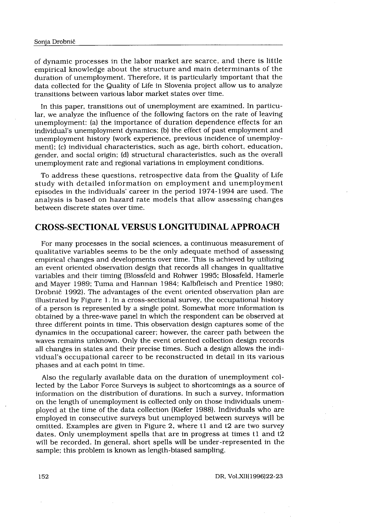of dynamic processes in the labor market are scarce, and there is little Drobnič<br>namic processes in the labor marl<br>rical knowledge about the structu:<br>tion of unemployment. Therefore, it<br>collected for the Quality of Life in Si<br>tions between various labor market empirical knowledge about the structure and main determinants of the duration of unemployment. Therefore, it is particularly important that the data collected for the Quality of Life in Slovenia project allow us to analyze transitions between various labor market states over time .

In this paper, transitions out of unemployment are examined. In particular, we analyze the influence of the following factors on the rate of leaving unemployment: (a) the importance of duration dependence effects for an individual's unemployment dynamics ; (b) the effect of past employment and unemployment history (work experience, previous incidence of unemployment); (c) individual characteristics, such as age, birth cohort, education, gender, and social origin; (d) structural characteristics, such as the overall unemployment rate and regional variations in employment conditions .

To address these questions, retrospective data from the Quality of Life study with detailed information on employment and unemployment episodes in the individuals' career in the period 1974-1994 are used . The analysis is based on hazard rate models that allow assessing changes between discrete states over time .

# CROSS-SECTIONAL VERSUS LONGITUDINAL APPROACH

For many processes in the social sciences, a continuous measurement of qualitative variables seems to be the only adequate method of assessing empirical changes and developments over time. This is achieved by utilizing an event oriented observation design that records all changes in qualitative variables and their timing (Blossfeld and Rohwer 1995 ; Blossfeld, Hamerle and Mayer 1989; Tuma and Hannan 1984; Kalbfleisch and Prentice 1980; Drobnic 1992) . The advantages of the event oriented observation plan are illustrated by Figure 1 . In a cross-sectional survey, the occupational history of a person is represented by a single point . Somewhat more information is obtained by a three-wave panel in which the respondent can be observed at three different points in time . This observation design captures some of the dynamics in the occupational career ; however, the career path between the waves remains unknown . Only the event oriented collection design records all changes in states and their precise times . Such a design allows the individual's occupational career to be reconstructed in detail in its various phases and at each point in time.

Also the regularly available data on the duration of unemployment collected by the Labor Force Surveys is subject to shortcomings as a source of information on the distribution of durations . In such a survey, information on the length of unemployment is collected only on those individuals unemployed at the time of the data collection (Kiefer 1988) . Individuals who are employed in consecutive surveys but unemployed between surveys will be omitted. Examples are given in Figure 2, where t1 and t2 are two survey dates. Only unemployment spells that are in progress at times t1 and t2 will be recorded. In general, short spells will be under-represented in the sample; this problem is known as length-biased sampling.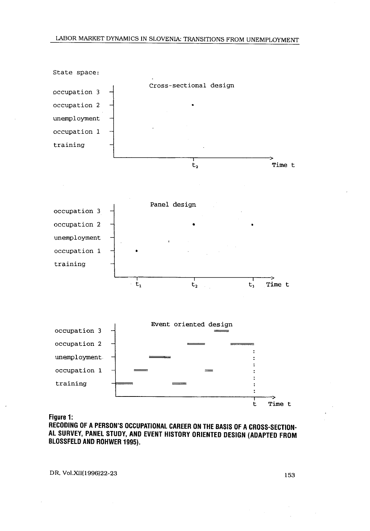

Figure 1:

RECODING OF A PERSON'S OCCUPATIONAL CAREER ON THE BASIS OF A CROSS-SECTION-AL SURVEY, PANEL STUDY, AND EVENT HISTORY ORIENTED DESIGN (ADAPTED FROM BLOSSFELD AND ROHWER 1995).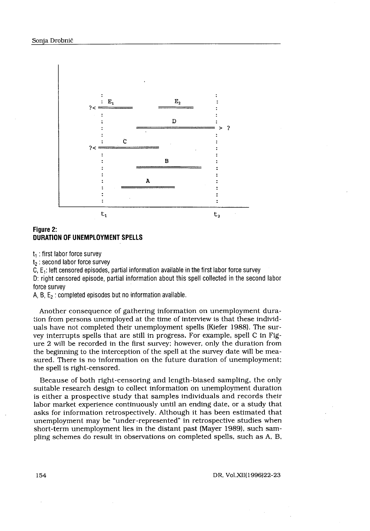

### Figure 2: DURATION OF UNEMPLOYMENT SPELLS

t, : first labor force survey

 $t<sub>2</sub>$ : second labor force survey

C,  $E_1$ : left censored episodes, partial information available in the first labor force survey

D: right censored episode, partial information about this spell collected in the second labor force survey

A, B,  $E_2$  : completed episodes but no information available.

Another consequence of gathering information on unemployment duration from persons unemployed at the time of interview is that these individuals have not completed their unemployment spells (Kiefer 1988) . The survey interrupts spells that are still in progress . For example, spell C in Figure 2 will be recorded in the first survey ; however, only the duration from the beginning to the interception of the spell at the survey date will be measured. There is no information on the future duration of unemployment; the spell is right-censored .

Because of both right-censoring and length-biased sampling, the only suitable research design to collect information on unemployment duration is either a prospective study that samples individuals and records their labor market experience continuously until an ending date, or a study that asks for information retrospectively . Although it has been estimated that unemployment may be "under-represented" in retrospective studies when short-term unemployment lies in the distant past (Mayer 1989), such sampling schemes do result in observations on completed spells, such as A, B,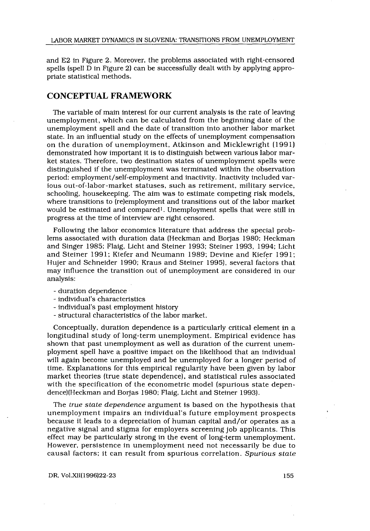and E2 in Figure 2 . Moreover, the problems associated with right-censored spells (spell D in Figure 2) can be successfully dealt with by applying appropriate statistical methods .

# CONCEPTUAL FRAMEWORK

The variable of main interest for our current analysis is the rate of leaving unemployment, which can be calculated from the beginning date of the unemployment spell and the date of transition into another labor market state . In an influential study on the effects of unemployment compensation on the duration of unemployment, Atkinson and Micklewright (1991) demonstrated how important it is to distinguish between various labor market states . Therefore, two destination states of unemployment spells were distinguished if the unemployment was terminated within the observation period: employment/self-employment and inactivity. Inactivity included various out-of-labor-market statuses, such as retirement, military service, schooling, housekeeping . The aim was to estimate competing risk models, where transitions to (re)employment and transitions out of the labor market would be estimated and compared' . Unemployment spells that were still in progress at the time of interview are right censored .

Following the labor economics literature that address the special problems associated with duration data (Heckman and Borjas 1980; Heckman and Singer 1985; Flaig, Licht and Steiner 1993; Steiner 1993, 1994; Licht and Steiner 1991; Kiefer and Neumann 1989; Devine and Kiefer 1991; Hujer and Schneider 1990; Kraus and Steiner 1995), several factors that may influence the transition out of unemployment are considered in our analysis :

- duration dependence
- individual's characteristics
- individual's past employment history
- structural characteristics of the labor market .

Conceptually, duration dependence is a particularly critical element in a longitudinal study of long-term unemployment. Empirical evidence has shown that past unemployment as well as duration of the current unemployment spell have a positive impact on the likelihood that an individual will again become unemployed and be unemployed for a longer period of time. Explanations for this empirical regularity have been given by labor market theories (true state dependence), and statistical rules associated with the specification of the econometric model (spurious state dependence)(Heckman and Borjas 1980; Flaig, Licht and Steiner 1993).

The true state dependence argument is based on the hypothesis that unemployment impairs an individual's future employment prospects because it leads to a depreciation of human capital and/or operates as a negative signal and stigma for employers screening job applicants . This effect may be particularly strong in the event of long-term unemployment . However, persistence in unemployment need not necessarily be due to causal factors; it can result from spurious correlation. Spurious state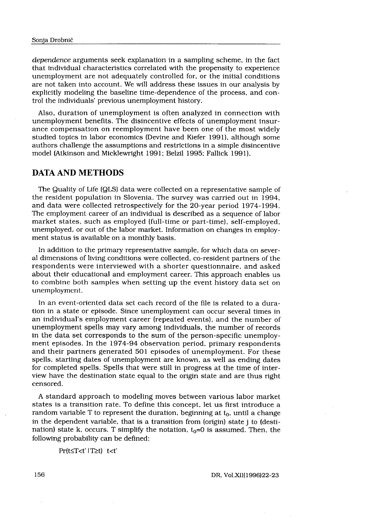dependence arguments seek explanation in a sampling scheme, in the fact that individual characteristics correlated with the propensity to experience unemployment are not adequately controlled for, or the initial conditions are not taken into account. We will address these issues in our analysis by explicitly modeling the baseline time-dependence of the process, and control the individuals' previous unemployment history.

Also, duration of unemployment is often analyzed in connection with unemployment benefits . The disincentive effects of unemployment insurance compensation on reemployment have been one of the most widely studied topics in labor economics (Devine and Kiefer 1991), although some authors challenge the assumptions and restrictions in a simple disincentive model (Atkinson and Micklewright 1991; Belzil 1995; Fallick 1991).

# DATA AND METHODS

The Quality of Life (QLS) data were collected on a representative sample of the resident population in Slovenia. The survey was carried out in  $1994$ , and data were collected retrospectively for the 20-year period 1974-1994. The employment career of an individual is described as a sequence of labor market states, such as employed (full-time or part-time), self-employed, unemployed, or out of the labor market. Information on changes in employment status is available on a monthly basis .

In addition to the primary representative sample, for which data on several dimensions of living conditions were collected, co-resident partners of the respondents were interviewed with a shorter questionnaire, and asked about their educational and employment career . This approach enables us to combine both samples when setting up the event history data set on unemployment.

In an event-oriented data set each record of the file is related to a duration in a state or episode. Since unemployment can occur several times in an individual's employment career (repeated events), and the number of unemployment spells may vary among individuals, the number of records in the data set corresponds to the sum of the person-specific unemployment episodes . In the 1974-94 observation period, primary respondents and their partners generated 501 episodes of unemployment. For these spells, starting dates of unemployment are known, as well as ending dates for completed spells . Spells that were still in progress at the time of interview have the destination state equal to the origin state and are thus right censored.

A standard approach to modeling moves between various labor market states is a transition rate. To define this concept, let us first introduce a random variable T to represent the duration, beginning at  $t_0$ , until a change in the dependent variable, that is a transition from (origin) state j to (destination) state k, occurs. T simplify the notation,  $t_0 = 0$  is assumed. Then, the following probability can be defined:

Pr(t≤T<t' | T≥t) t<t'

DR, Vol.XII(1996)22-23

156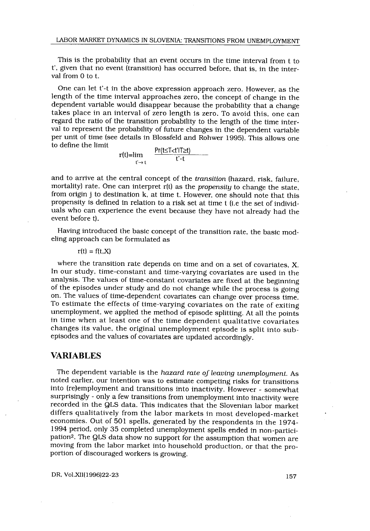This is the probability that an event occurs in the time interval from t to t', given that no event (transition) has occurred before, that is, in the interval from 0 to t.

One can let t'-t in the above expression approach zero. However, as the length of the time interval approaches zero, the concept of change in the dependent variable would disappear because the probability that a change takes place in an interval of zero length is zero. To avoid this, one can regard the ratio of the transition probability to the length of the time interval to represent the probability of future changes in the dependent variable per unit of time (see details in Blossfeld and Rohwer 1995) . This allows one to define the limit

$$
r(t)=\lim_{t'\to t}\qquad \frac{Pr(t\leq T
$$

and to arrive at the central concept of the transition (hazard, risk, failure, mortality) rate. One can interpret  $r(t)$  as the *propensity* to change the state, from origin j to destination k, at time t. However, one should note that this propensity is defined in relation to a risk set at time t (i .e the set of individuals who can experience the event because they have not already had the event before t).

Having introduced the basic concept of the transition rate, the basic modeling approach can be formulated as

 $r(t) = f(t, X)$ 

where the transition rate depends on time and on a set of covariates, X. In our study, time-constant and time-varying covariates are used in the analysis. The values of time-constant covariates are fixed at the beginning of the episodes under study and do not change while the process is going on. The values of time-dependent covariates can change over process time . To estimate the effects of time-varying covariates on the rate of exiting unemployment, we applied the method of episode splitting. At all the points in time when at least one of the time dependent qualitative covariates changes its value, the original unemployment episode is split into subepisodes and the values of covariates are updated accordingly .

# VARIABLES

The dependent variable is the hazard rate of leaving unemployment. As noted earlier, our intention was to estimate competing risks for transitions into (re)employment and transitions into inactivity . However - somewhat surprisingly - only a few transitions from unemployment into inactivity were recorded in the QLS data. This indicates that the Slovenian labor market differs qualitatively from the labor markets in most developed-market economies. Out of 501 spells, generated by the respondents in the 1974- 1994 period, only 35 completed unemployment spells ended in non-partici pation<sup>2</sup>. The QLS data show no support for the assumption that women are moving from the labor market into household production, or that the proportion of discouraged workers is growing.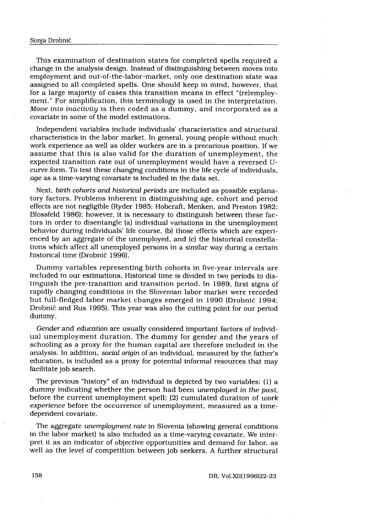#### Sonja Drobnič

This examination of destination states for completed spells required a change in the analysis design. Instead of distinguishing between moves into employment and out-of-the-labor-market, only one destination state was assigned to all completed spells . One should keep in mind, however, that for a large majority of cases this transition means in effect "(re)employment." For simplification, this terminology is used in the interpretation . Move into inactivity is then coded as a dummy, and incorporated as a covariate in some of the model estimations.

Independent variables include individuals' characteristics and structural characteristics in the labor market. In general, young people without much work experience as well as older workers are in a precarious position . If we assume that this is also valid for the duration of unemployment, the expected transition rate out of unemployment would have a reversed Ucurve form. To test these changing conditions in the life cycle of individuals, age as a time-varying covariate is included in the data set.

Next, birth cohorts and historical periods are included as possible explanatory factors. Problems inherent in distinguishing age, cohort and period effects are not negligible (Ryder 1985; Hobcraft, Menken, and Preston 1982; Blossfeld 1986); however, it is necessary to distinguish between these factors in order to disentangle (a) individual variations in the unemployment behavior during individuals' life course, (b) those effects which are experienced by an aggregate of the unemployed, and (c) the historical constellations which affect all unemployed persons in a similar way during a certain historical time (Drobnic 1996) .

Dummy variables representing birth cohorts in five-year intervals are included in our estimations. Historical time is divided in two periods to distinguish the pre-transition and transition period. In 1989, first signs of rapidly changing conditions in the Slovenian labor market were recorded but full-fledged labor market changes emerged in 1990 (Drobnic 1994 ; Drobnic and Rus 1995) . This year was also the cutting point for our period dummy.

Gender and education are usually considered important factors of individual unemployment duration. The dummy for gender and the years of schooling as a proxy for the human capital are therefore included in the analysis. In addition, social origin of an individual, measured by the father's education, is included as a proxy for potential informal resources that may facilitate job search.

The previous "history" of an individual is depicted by two variables: (1) a dummy indicating whether the person had been unemployed in the past, before the current unemployment spell; (2) cumulated duration of work experience before the occurrence of unemployment, measured as a timedependent covariate.

The aggregate unemployment rate in Slovenia (showing general conditions in the labor market) is also included as a time-varying covariate. We interpret it as an indicator of objective opportunities and demand for labor, as well as the level of competition between job seekers . A further structural

158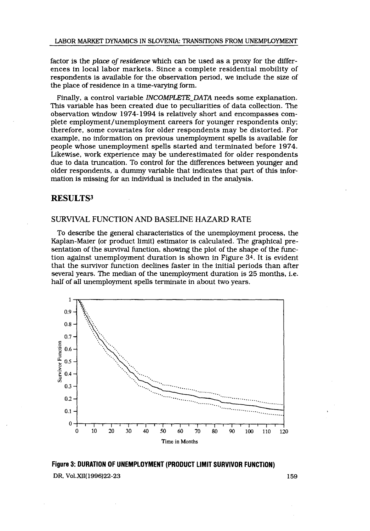factor is the place of residence which can be used as a proxy for the differences in local labor markets . Since a complete residential mobility of respondents is available for the observation period, we include the size of the place of residence in a time-varying form.

Finally, a control variable INCOMPLETE DATA needs some explanation. This variable has been created due to peculiarities of data collection . The observation window 1974-1994 is relatively short and encompasses complete employment/unemployment careers for younger respondents only; therefore, some covariates for older respondents may be distorted. For example, no information on previous unemployment spells is available for people whose unemployment spells started and terminated before 1974 . Likewise, work experience may be underestimated for older respondents due to data truncation. To control for the differences between younger and older respondents, a dummy variable that indicates that part of this information is missing for an individual is included in the analysis .

# RESULTS3

# SURVIVAL FUNCTION AND BASELINE HAZARD RATE

To describe the general characteristics of the unemployment process, the Kaplan-Maier (or product limit) estimator is calculated . The graphical presentation of the survival function, showing the plot of the shape of the function against unemployment duration is shown in Figure 34 . It is evident that the survivor function declines faster in the initial periods than after several years. The median of the unemployment duration is 25 months, *i.e.* half of all unemployment spells terminate in about two years.



Figure 3: DURATION OF UNEMPLOYMENT (PRODUCT LIMIT SURVIVOR FUNCTION) DR, Vol.XII(1996)22-23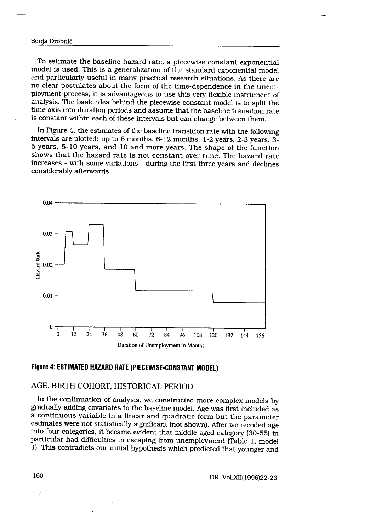#### Sonja Drobnič

 $\overline{\phantom{a}}$ 

 $\overline{\phantom{0}}$ 

To estimate the baseline hazard rate, a piecewise constant exponential model is used. This is a generalization of the standard exponential model and particularly useful in many practical research situations . As there are no clear postulates about the form of the time-dependence in the unemployment process, it is advantageous to use this very flexible instrument of analysis . The basic idea behind the piecewise constant model is to split the time axis into duration periods and assume that the baseline transition rate is constant within each of these intervals but can change between them .

In Figure 4, the estimates of the baseline transition rate with the following intervals are plotted: up to 6 months,  $6-12$  months,  $1-2$  years,  $2-3$  years,  $3-$ 5 years, 5-10 years, and 10 and more years . The shape of the function shows that the hazard rate is not constant over time. The hazard rate increases - with some variations - during the first three years and declines considerably afterwards .



# Figure 4: ESTIMATED HAZARD RATE (PIECEWISE-CONSTANT MODEL)

# AGE, BIRTH COHORT, HISTORICAL PERIOD

In the continuation of analysis, we constructed more complex models by gradually adding covariates to the baseline model . Age was first included as a continuous variable in a linear and quadratic form but the parameter estimates were not statistically significant (not shown) . After we recoded age into four categories, it became evident that middle-aged category (30-55) in particular had difficulties in escaping from unemployment (Table 1, model 1) . This contradicts our initial hypothesis which predicted that younger and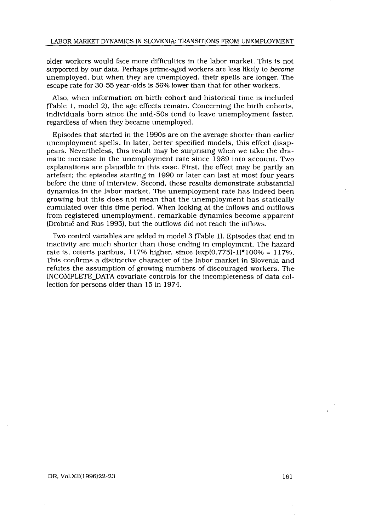older workers would face more difficulties in the labor market . This is not supported by our data. Perhaps prime-aged workers are less likely to become unemployed, but when they are unemployed, their spells are longer. The escape rate for 30-55 year-olds is 56% lower than that for other workers .

Also, when information on birth cohort and historical time is included (Table 1, model 2), the age effects remain . Concerning the birth cohorts, individuals born since the mid-50s tend to leave unemployment faster, regardless of when they became unemployed .

Episodes that started in the 1990s are on the average shorter than earlier unemployment spells. In later, better specified models, this effect disappears. Nevertheless, this result may be surprising when we take the dramatic increase in the unemployment rate since 1989 into account. Two explanations are plausible in this case . First, the effect may be partly an artefact; the episodes starting in 1990 or later can last at most four years before the time of interview . Second, these results demonstrate substantial dynamics in the labor market. The unemployment rate has indeed been growing but this does not mean that the unemployment has statically cumulated over this time period . When looking at the inflows and outflows from registered unemployment, remarkable dynamics become apparent (Drobnič and Rus 1995), but the outflows did not reach the inflows .

Two control variables are added in model 3 (Table 1) . Episodes that end in inactivity are much shorter than those ending in employment. The hazard rate is, ceteris paribus,  $117\%$  higher, since  $(\exp(0.775)-1)*100\% = 117\%.$ This confirms a distinctive character of the labor market in Slovenia and refutes the assumption of growing numbers of discouraged workers . The INCOMPLETE DATA covariate controls for the incompleteness of data collection for persons older than 15 in 1974.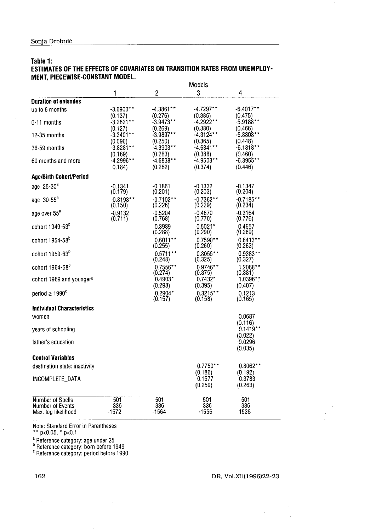| Sonja Drobnič                                                             |                        |                        |                        |                        |  |  |
|---------------------------------------------------------------------------|------------------------|------------------------|------------------------|------------------------|--|--|
|                                                                           |                        |                        |                        |                        |  |  |
| Table 1:                                                                  |                        |                        |                        |                        |  |  |
| ESTIMATES OF THE EFFECTS OF COVARIATES ON TRANSITION RATES FROM UNEMPLOY- |                        |                        |                        |                        |  |  |
| MENT, PIECEWISE-CONSTANT MODEL.                                           |                        | Models                 |                        |                        |  |  |
|                                                                           | 1                      | $\overline{2}$         | 3                      | 4                      |  |  |
| <b>Duration of episodes</b>                                               |                        |                        |                        |                        |  |  |
| up to 6 months                                                            | $-3.6900**$<br>(0.137) | -4.3861**<br>(0.276)   | -4.7297**<br>(0.385)   | -6.4017**<br>(0.475)   |  |  |
| 6-11 months                                                               | -3.2621**              | $-3.9473**$            | -4.2922**              | $-5.9188**$            |  |  |
| 12-35 months                                                              | (0.127)<br>$-3.3401**$ | (0.269)<br>$-3.9897**$ | (0.380)<br>-4 3124**   | (0.466)<br>-5.8808**   |  |  |
| 36-59 months                                                              | (0.090)<br>$-3.8281**$ | (0.250)<br>$-4.3903**$ | (0.365)<br>$-4.6841**$ | (0.448)<br>$-6.1818**$ |  |  |
|                                                                           | (0.169)                | (0.283)                | (0.388)                | (0.460)                |  |  |
| 60 months and more                                                        | -4.2996**<br>0.184)    | -4.6838**<br>(0.262)   | $-4.9503**$<br>(0.374) | $-6.3955**$<br>(0.446) |  |  |
| <b>Age/Birth Cohort/Period</b>                                            |                        |                        |                        |                        |  |  |
| age $25-30^a$                                                             | $-0.1341$              | $-0.1861$              | $-0.1332$              | $-0.1347$              |  |  |
| age $30 - 55^a$                                                           | (0.179)<br>$-0.8193**$ | (0.201)<br>$-0.7102**$ | (0.203)<br>$-0.7362**$ | (0.204)<br>$-0.7185**$ |  |  |
| age over 55 <sup>a</sup>                                                  | (0.150)<br>$-0.9132$   | (0.226)<br>$-0.5204$   | (0.229)<br>$-0.4670$   | (0.234)<br>$-0.3164$   |  |  |
|                                                                           | (0.711)                | (0.768)                | (0.770)                | (0.776)                |  |  |
| cohort 1949-53 <sup>b</sup>                                               |                        | 0.3989<br>(0.288)      | $0.5021*$<br>(0.290)   | 0.4657<br>(0.289)      |  |  |
| cohort 1954-58 <sup>b</sup>                                               |                        | $0.6011**$             | $0.7590**$             | $0.6413**$             |  |  |
| cohort 1959-63 <sup>b</sup>                                               |                        | (0.255)<br>$0.5711**$  | (0.260)<br>$0.8055**$  | (0 263)<br>$0.9383**$  |  |  |
| cohort 1964-68 <sup>b</sup>                                               |                        | (0.248)<br>0.7556**    | (0.325)<br>$0.9746**$  | (0.327)<br>$1.2068**$  |  |  |
|                                                                           |                        | (0.274)                | (0.375)                | (0.381)                |  |  |
| cohort 1969 and youngerb                                                  |                        | $0.4903*$<br>(0.298)   | $0.7432*$<br>(0.395)   | 1.0396**<br>(0.407)    |  |  |
| period $\geq 1990^{\circ}$                                                |                        | $0.2904*$<br>(0.157)   | $0.3215**$<br>(0.158)  | 0.1213<br>(0.165)      |  |  |
| <b>Individual Characteristics</b>                                         |                        |                        |                        |                        |  |  |
| women                                                                     |                        |                        |                        | 0.0687                 |  |  |
| years of schooling                                                        |                        |                        |                        | (0.116)<br>$0.1419**$  |  |  |
| father's education                                                        |                        |                        |                        | (0.022)<br>$-0.0296$   |  |  |
|                                                                           |                        |                        |                        | (0.035)                |  |  |
| <b>Control Variables</b>                                                  |                        |                        |                        |                        |  |  |
| destination state: inactivity                                             |                        |                        | $0.7750**$<br>(0.186)  | $0.8062**$<br>(0.192)  |  |  |
| INCOMPLETE DATA                                                           |                        |                        | 0.1577<br>(0.259)      | 0.3783                 |  |  |
|                                                                           |                        |                        |                        | (0.263)                |  |  |
| Number of Spells<br>Number of Events                                      | 501<br>336             | 501<br>336             | 501<br>336             | 501<br>336             |  |  |
| Max. log likelihood                                                       | $-1572$                | $-1564$                | $-1556$                | 1536                   |  |  |

### Table 1: ESTIMATES OF THE EFFECTS OF COVARIATES ON TRANSITION RATES FROM UNEMPLOY-MENT, PIECEWISE-CONSTANT MODEL .

Note : Standard Error in Parentheses

p<0.05, p<0.1

 $\epsilon$  reference category, age under  $\epsilon$ 

b Reference category : born before 1949

Reference category : period before 1990

#### DR, Vol.XII(1996)22-23

 $\sim 10^{-1}$ 

# 162

 $\bar{\phantom{a}}$ 

 $\bar{1}$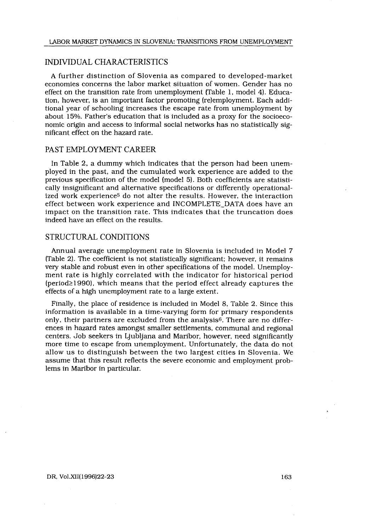# INDIVIDUAL CHARACTERISTICS

A further distinction of Slovenia as compared to developed-market economies concerns the labor market situation of women . Gender has no effect on the transition rate from unemployment (Table 1, model 4) . Education, however, is an important factor promoting (re)employment. Each additional year of schooling increases the escape rate from unemployment by about 15%. Father's education that is included as a proxy for the socioeconomic origin and access to informal social networks has no statistically significant effect on the hazard rate.

# PAST EMPLOYMENT CAREER

In Table 2, a dummy which indicates that the person had been unemployed in the past, and the cumulated work experience are added to the previous specification of the model (model 5) . Both coefficients are statistically insignificant and alternative specifications or differently operationalized work experience<sup>5</sup> do not alter the results. However, the interaction effect between work experience and INCOMPLETE-DATA does have an impact on the transition rate . This indicates that the truncation does indeed have an effect on the results .

# STRUCTURAL CONDITIONS

Annual average unemployment rate in Slovenia is included in Model 7 (Table 2). The coefficient is not statistically significant; however, it remains very stable and robust even in other specifications of the model . Unemployment rate is highly correlated with the indicator for historical period  $(period \geq 1990)$ , which means that the period effect already captures the effects of a high unemployment rate to a large extent .

Finally, the place of residence is included in Model 8, Table 2. Since this information is available in a time-varying form for primary respondents only, their partners are excluded from the analysis6 . There are no differences in hazard rates amongst smaller settlements, communal and regional centers . Job seekers in Ljubljana and Maribor, however, need significantly more time to escape from unemployment. Unfortunately, the data do not allow us to distinguish between the two largest cities in Slovenia . We assume that this result reflects the severe economic and employment problems in Maribor in particular.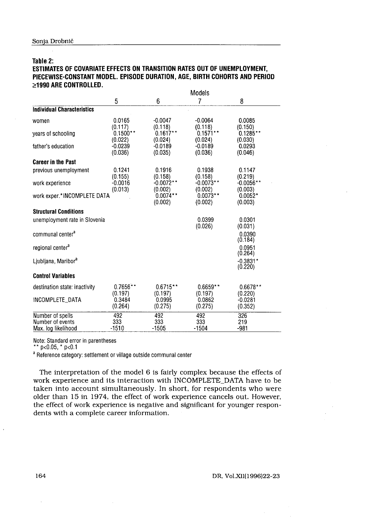#### Table 2:

# Sonja Drobnič<br>Table 2:<br>Table 2:<br>PIECEWISE-CONSTANT MODEL. EPISODE<br>>1990 ARE CONTROLLED. ESTIMATES OF COVARIATE EFFECTS ON TRANSITION RATES OUT OF UNEMPLOYMENT, PIECEWISE-CONSTANT MODEL . EPISODE DURATION, AGE, BIRTH COHORTS AND PERIOD >\_1990 ARE CONTROLLED .

| Sonja Drobnič                                                             |                       |                       |                       |                       |  |
|---------------------------------------------------------------------------|-----------------------|-----------------------|-----------------------|-----------------------|--|
|                                                                           |                       |                       |                       |                       |  |
|                                                                           |                       |                       |                       |                       |  |
|                                                                           |                       |                       |                       |                       |  |
|                                                                           |                       |                       |                       |                       |  |
|                                                                           |                       |                       |                       |                       |  |
|                                                                           |                       |                       |                       |                       |  |
|                                                                           |                       |                       |                       |                       |  |
| Table 2:                                                                  |                       |                       |                       |                       |  |
| ESTIMATES OF COVARIATE EFFECTS ON TRANSITION RATES OUT OF UNEMPLOYMENT,   |                       |                       |                       |                       |  |
| PIECEWISE-CONSTANT MODEL. EPISODE DURATION, AGE, BIRTH COHORTS AND PERIOD |                       |                       |                       |                       |  |
| $\geq$ 1990 ARE CONTROLLED.                                               |                       |                       |                       |                       |  |
|                                                                           | 5                     | 6                     | Models<br>7           | 8                     |  |
| <b>Individual Characteristics</b>                                         |                       |                       |                       |                       |  |
| women                                                                     | 0.0165                | -0.0047               | -0.0064               | 0.0085                |  |
|                                                                           | (0.117)               | (0.118)               | (0.118)               | (0.150)               |  |
| years of schooling                                                        | $0.1500**$<br>(0.022) | $0.1617**$<br>(0.024) | $0.1571**$<br>(0.024) | $0.1285**$<br>(0.030) |  |
| father's education                                                        | -0.0239               | -0.0189               | $-0.0189$             | 0.0293                |  |
|                                                                           | (0.036)               | (0.035)               | (0.036)               | (0.046)               |  |
| <b>Career in the Past</b>                                                 |                       |                       |                       |                       |  |
| previous unemployment                                                     | 0.1241<br>(0.155)     | 0.1916<br>(0.158)     | 0.1938<br>(0.158)     | 0.1147<br>(0.219)     |  |
| work experience                                                           | $-0.0016$             | $-0.0072**$           | $-0.0073**$           | $-0.0056**$           |  |
| work exper.*iNCOMPLETE DATA                                               | (0.013)               | (0.002)<br>$0.0074**$ | (0.002)<br>$0.0073**$ | (0.003)<br>$0.0052*$  |  |
|                                                                           |                       | (0.002)               | (0.002)               | (0.003)               |  |
| <b>Structural Conditions</b>                                              |                       |                       |                       |                       |  |
| unemployment rate in Slovenia                                             |                       |                       | 0.0399                | 0.0301                |  |
| communal center <sup>a</sup>                                              |                       |                       | (0.026)               | (0.031)<br>0.0390     |  |
|                                                                           |                       |                       |                       | (0.184)               |  |
| regional center <sup>a</sup>                                              |                       |                       |                       | 0.0951<br>(0.264)     |  |
| Ljubljana, Maribor <sup>a</sup>                                           |                       |                       |                       | $-0.3831*$<br>(0.220) |  |
| <b>Control Variables</b>                                                  |                       |                       |                       |                       |  |
| destination state: inactivity                                             | $0.7656**$            | $0.6715**$            | $0.6659**$            | 0.6678**              |  |
|                                                                           | (0.197)               | (0.197)<br>0.0995     | (0.197)               | (0.220)               |  |
| INCOMPLETE_DATA                                                           | 0.3484<br>(0.264)     | (0.275)               | 0.0862<br>(0.275)     | $-0.0281$<br>(0.352)  |  |
|                                                                           |                       |                       |                       |                       |  |
| Number of spells                                                          | 492                   | 492                   | 492                   | 326                   |  |

a Reference category : settlement or village outside communal center

The interpretation of the model 6 is fairly complex because the effects of work experience and its interaction with INCOMPLETE DATA have to be taken into account simultaneously. In short, for respondents who were older than 15 in 1974, the effect of work experience cancels out. However, the effect of work experience is negative and significant for younger respondents with a complete career information.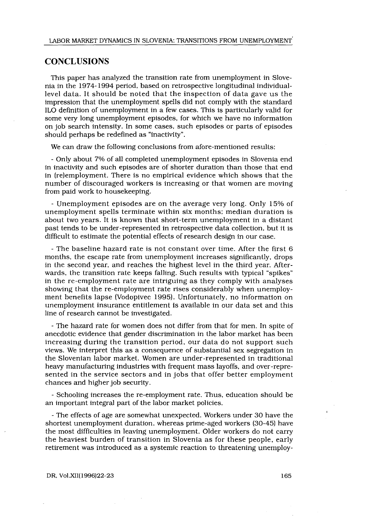# **CONCLUSIONS**

This paper has analyzed the transition rate from unemployment in Slovenia in the 1974-1994 period, based on retrospective longitudinal individuallevel data . It should be noted that the inspection of data gave us the impression that the unemployment spells did not comply with the standard ILO definition of unemployment in a few cases . This is particularly valid for some very long unemployment episodes, for which we have no information on job search intensity . In some cases, such episodes or parts of episodes should perhaps be redefined as "inactivity" .

We can draw the following conclusions from afore-mentioned results:

- Only about 7% of all completed unemployment episodes in Slovenia end in inactivity and such episodes are of shorter duration than those that end in (re)employment. There is no empirical evidence which shows that the number of discouraged workers is increasing or that women are moving from paid work to housekeeping.

- Unemployment episodes are on the average very long. Only 15% of unemployment spells terminate within six months; median duration is about two years. It is known that short-term unemployment in a distant past tends to be under-represented in retrospective data collection, but it is difficult to estimate the potential effects of research design in our case.

- The baseline hazard rate is not constant over time. After the first 6 months, the escape rate from unemployment increases significantly, drops in the second year, and reaches the highest level in the third year. Afterwards, the transition rate keeps falling. Such results with typical "spikes" in the re-employment rate are intriguing as they comply with analyses showing that the re-employment rate rises considerably when unemployment benefits lapse (Vodopivec 1995). Unfortunately, no information on unemployment insurance entitlement is available in our data set and this line of research cannot be investigated.

- The hazard rate for women does not differ from that for men . In spite of anecdotic evidence that gender discrimination in the labor market has been increasing during the transition period, our data do not support such views. We interpret this as a consequence of substantial sex segregation in the Slovenian labor market . Women are under-represented in traditional heavy manufacturing industries with frequent mass layoffs, and over-represented in the service sectors and in jobs that offer better employment chances and higher job security .

- Schooling increases the re-employment rate . Thus, education should be an important integral part of the labor market policies.

- The effects of age are somewhat unexpected . Workers under 30 have the shortest unemployment duration, whereas prime-aged workers (30-45) have the most difficulties in leaving unemployment . Older workers do not carry the heaviest burden of transition in Slovenia as for these people, early retirement was introduced as a systemic reaction to threatening unemploy-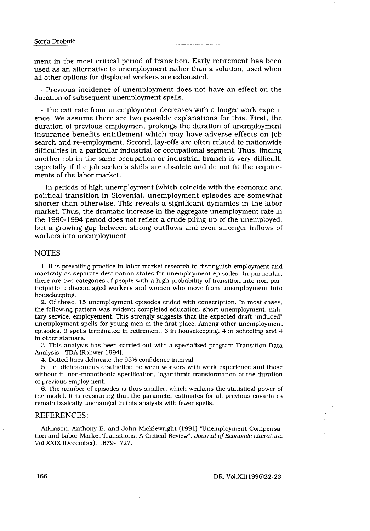ment in the most critical period of transition . Early retirement has been Drobnič<br>
in the most critical period of trans<br>
as an alternative to unemployment<br>
oner options for displaced workers a<br>
revious incidence of unemployment<br>
considered to the immediation used as an alternative to unemployment rather than a solution, used when all other options for displaced workers are exhausted.

- Previous incidence of unemployment does not have an effect on the duration of subsequent unemployment spells.

- The exit rate from unemployment decreases with a longer work experience. We assume there are two possible explanations for this . First, the duration of previous employment prolongs the duration of unemployment insurance benefits entitlement which may have adverse effects on job search and re-employment. Second, lay-offs are often related to nationwide difficulties in a particular industrial or occupational segment. Thus, finding another job in the same occupation or industrial branch is very difficult, especially if the job seeker's skills are obsolete and do not fit the requirements of the labor market.

- In periods of high unemployment (which coincide with the economic and political transition in Slovenia), unemployment episodes are somewhat shorter than otherwise. This reveals a significant dynamics in the labor market. Thus, the dramatic increase in the aggregate unemployment rate in the 1990-1994 period does not reflect a crude piling up of the unemployed, but a growing gap between strong outflows and even stronger inflows of workers into unemployment.

#### **NOTES**

<sup>1</sup> . It is prevailing practice in labor market research to distinguish employment and inactivity as separate destination states for unemployment episodes . In particular, there are two categories of people with a high probability of transition into non-participation: discouraged workers and women who move from unemployment into housekeeping.

2. Of those, 15 unemployment episodes ended with conscription . In most cases, the following pattern was evident: completed education, short unemployment, military service, employement. This strongly suggests that the expected draft "induced" unemployment spells for young men in the first place . Among other unemployment episodes, 9 spells terminated in retirement, 3 in housekeeping, 4 in schooling and 4 in other statuses .

3. This analysis has been carried out with a specialized program Transition Data Analysis - TDA (Rohwer 1994) .

4. Dotted lines delineate the 95% confidence interval .

5 . I.e . dichotomous distinction between workers with work experience and those without it, non-monothonic specification, logarithmic transformation of the duration of previous employment.

6. The number of episodes is thus smaller, which weakens the statistical power of the model . It is reassuring that the parameter estimates for all previous covariates remain basically unchanged in this analysis with fewer spells .

# REFERENCES:

Atkinson, Anthony B. and John Micklewright (1991) "Unemployment Compensation and Labor Market Transitions: A Critical Review". Journal of Economic Literature. Vol. XXIX (December): 1679-1727.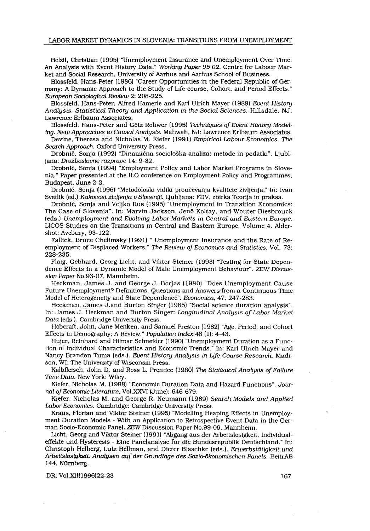Belzil, Christian (1995) "Unemployment Insurance and Unemployment Over Time : An Analysis with Event History Data ." Working Paper 95-02. Centre for Labour Market and Social Research, University of Aarhus and Aarhus School of Business .

Blossfeld, Hans-Peter (1986) "Career Opportunities in the Federal Republic of Germany: A Dynamic Approach to the Study of Life-course, Cohort, and Period Effects ." European Sociological Review 2: 208-225.

Blossfeld, Hans-Peter, Alfred Hamerle and Karl Ulrich Mayer (1989) Event History Analysis. Statistical Theory and Application in the Social Sciences . Hillsdale, NJ : Lawrence Erlbaum Associates.

Blossfeld, Hans-Peter and Götz Rohwer (1995) Techniques of Event History Modeling. New Approaches to Causal Analysis. Mahwah, NJ: Lawrence Erlbaum Associates.

Devine, Theresa and Nicholas M. Kiefer (1991) Empirical Labour Economics. The Search Approach. Oxford University Press.

Drobnič, Sonja (1992) "Dinamična socioloska analiza : metode in podatki" . Ljubljana: Družboslovne razprave 14: 9-32.

Drobnič, Sonja (1994) "Employment Policy and Labor Market Programs in Slovenia ." Paper presented at the ILO conference on Employment Policy and Programmes, Budapest, June 2-3.

Drobnič, Sonja (1996) "Metodološki vidiki proučevanja kvalitete življenja ." In : Ivan Svetlik (ed.) Kakovost življenja v Sloveniji. Ljubljana: FDV, zbirka Teorija in praksa.

Drobnič, Sonja and Veljko Rus (1995) "Unemployment in Transition Economies : The Case of Slovenia" . In: Marvin Jackson, Jenö Koltay, and Wouter Biesbrouck (eds .) Unemployment and Evolving Labor Markets in Central and Eastern Europe . LICOS Studies on the Transitions in Central and Eastern Europe, Volume 4 . Aldershot: Avebury, 93-122 .

Fallick, Bruce Chelimsky (1991) " Unemployment Insurance and the Rate of Reemployment of Displaced Workers." The Review of Economics and Statistics. Vol. 73: 228-235.

Flaig, Gebhard, Georg Licht, and Viktor Steiner (1993) "Testing for State Dependence Effects in a Dynamic Model of Male Unemployment Behaviour". ZEW Discussion Paper No.93-07, Mannheim.

Heckman, James J. and George J. Borjas (1980) "Does Unemployment Cause Future Unemployment? Definitions, Questions and Answers from a Continuous Time Model of Heterogeneity and State Dependence". Economica, 47, 247-283.

Heckman, James J.and Burton Singer (1985) "Social science duration analysis". In: James J. Heckman and Burton Singer: Longitudinal Analysis of Labor Market Data (eds.). Cambridge University Press.

Hobcraft, John, Jane Menken, and Samuel Preston (1982) "Age, Period, and Cohort Effects in Demography: A Review." Population Index 48 (1): 4-43.

Hujer, Reinhard and Hilmar Schneider (1990) "Unemployment Duration as a Function of Individual Characteristics and Economic Trends." In: Karl Ulrich Mayer and Nancy Brandon Tuma (eds.). Event History Analysis in Life Course Research. Madison, WI: The University of Wisconsin Press.

Kalbfleisch, John D. and Ross L. Prentice (1980) The Statistical Analysis of Failure Time Data. New York: Wiley.

Kiefer, Nicholas M. (1988) "Economic Duration Data and Hazard Functions". Journal of Economic Literature. Vol.XXVI (June): 646-679.

Kiefer, Nicholas M. and George R. Neumann (1989) Search Models and Applied Labor Economics. Cambridge: Cambridge University Press.

Kraus, Florian and Viktor Steiner (1995) "Modelling Heaping Effects in Unemployment Duration Models - With an Application to Retrospective Event Data in the German Socio-Economic Panel. ZEW Discussion Paper No.99-09, Mannheim.

Licht, Georg and Viktor Steiner (1991) "Abgang aus der Arbeitslosigkeit, Individual effekte und Hysteresis - Eine Panelanalyse für die Bundesrepublik Deutschland." In: Christoph Helberg, Lutz Bellman, and Dieter Blaschke (eds .) . Erwerbstätigkeit and Arbeitslostgkeit. Analysen auf der Grundlage des Sozio-ökonomischen Panels . BeitrAB 144, Nürnberg.

DR, Vol.XII(1996)22-23

167